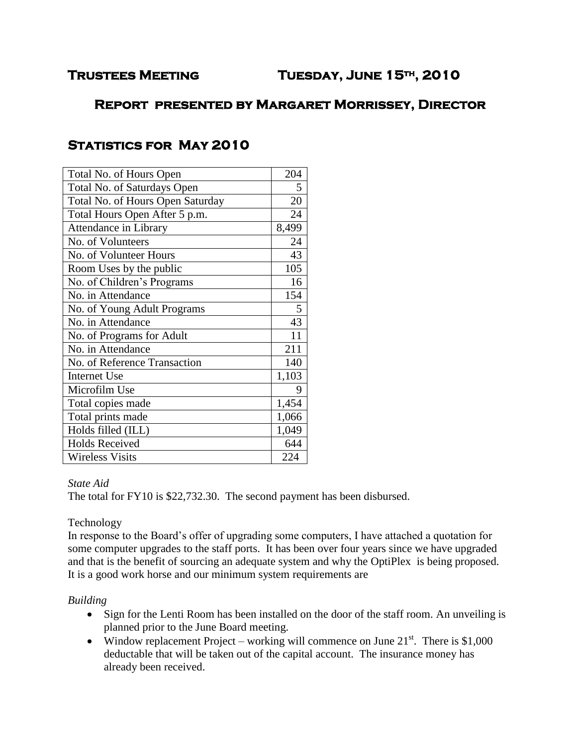# **Report presented by Margaret Morrissey, Director**

# **Statistics for May 2010**

| Total No. of Hours Open          | 204   |
|----------------------------------|-------|
| Total No. of Saturdays Open      | 5     |
| Total No. of Hours Open Saturday | 20    |
| Total Hours Open After 5 p.m.    | 24    |
| Attendance in Library            | 8,499 |
| No. of Volunteers                | 24    |
| No. of Volunteer Hours           | 43    |
| Room Uses by the public          | 105   |
| No. of Children's Programs       | 16    |
| No. in Attendance                | 154   |
| No. of Young Adult Programs      | 5     |
| No. in Attendance                | 43    |
| No. of Programs for Adult        | 11    |
| No. in Attendance                | 211   |
| No. of Reference Transaction     | 140   |
| <b>Internet Use</b>              | 1,103 |
| Microfilm Use                    | 9     |
| Total copies made                | 1,454 |
| Total prints made                | 1,066 |
| Holds filled (ILL)               | 1,049 |
| <b>Holds Received</b>            | 644   |
| <b>Wireless Visits</b>           | 224   |

#### *State Aid*

The total for FY10 is \$22,732.30. The second payment has been disbursed.

### Technology

In response to the Board's offer of upgrading some computers, I have attached a quotation for some computer upgrades to the staff ports. It has been over four years since we have upgraded and that is the benefit of sourcing an adequate system and why the OptiPlex is being proposed. It is a good work horse and our minimum system requirements are

### *Building*

- Sign for the Lenti Room has been installed on the door of the staff room. An unveiling is planned prior to the June Board meeting.
- Window replacement Project working will commence on June  $21<sup>st</sup>$ . There is \$1,000 deductable that will be taken out of the capital account. The insurance money has already been received.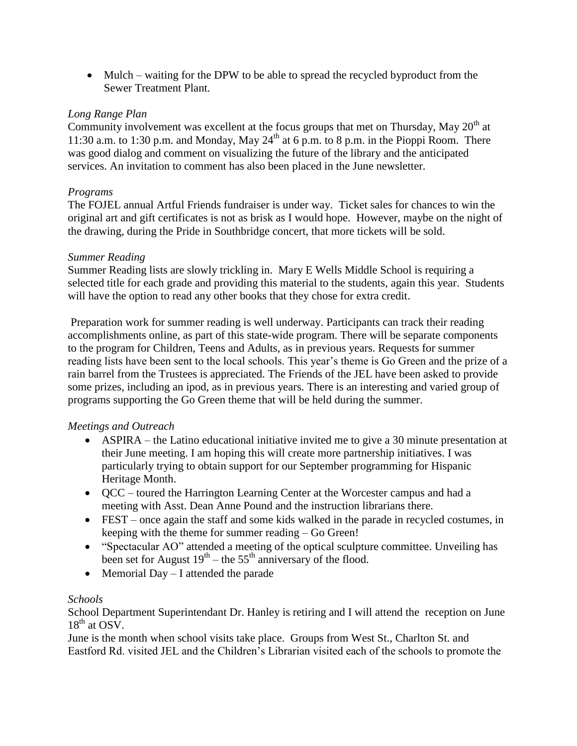• Mulch – waiting for the DPW to be able to spread the recycled byproduct from the Sewer Treatment Plant.

## *Long Range Plan*

Community involvement was excellent at the focus groups that met on Thursday, May 20<sup>th</sup> at 11:30 a.m. to 1:30 p.m. and Monday, May  $24<sup>th</sup>$  at 6 p.m. to 8 p.m. in the Pioppi Room. There was good dialog and comment on visualizing the future of the library and the anticipated services. An invitation to comment has also been placed in the June newsletter.

### *Programs*

The FOJEL annual Artful Friends fundraiser is under way. Ticket sales for chances to win the original art and gift certificates is not as brisk as I would hope. However, maybe on the night of the drawing, during the Pride in Southbridge concert, that more tickets will be sold.

### *Summer Reading*

Summer Reading lists are slowly trickling in. Mary E Wells Middle School is requiring a selected title for each grade and providing this material to the students, again this year. Students will have the option to read any other books that they chose for extra credit.

Preparation work for summer reading is well underway. Participants can track their reading accomplishments online, as part of this state-wide program. There will be separate components to the program for Children, Teens and Adults, as in previous years. Requests for summer reading lists have been sent to the local schools. This year's theme is Go Green and the prize of a rain barrel from the Trustees is appreciated. The Friends of the JEL have been asked to provide some prizes, including an ipod, as in previous years. There is an interesting and varied group of programs supporting the Go Green theme that will be held during the summer.

### *Meetings and Outreach*

- ASPIRA the Latino educational initiative invited me to give a 30 minute presentation at their June meeting. I am hoping this will create more partnership initiatives. I was particularly trying to obtain support for our September programming for Hispanic Heritage Month.
- QCC toured the Harrington Learning Center at the Worcester campus and had a meeting with Asst. Dean Anne Pound and the instruction librarians there.
- FEST once again the staff and some kids walked in the parade in recycled costumes, in keeping with the theme for summer reading – Go Green!
- "Spectacular AO" attended a meeting of the optical sculpture committee. Unveiling has been set for August  $19^{th}$  – the 55<sup>th</sup> anniversary of the flood.
- Memorial Day I attended the parade

## *Schools*

School Department Superintendant Dr. Hanley is retiring and I will attend the reception on June  $18^{th}$  at OSV.

June is the month when school visits take place. Groups from West St., Charlton St. and Eastford Rd. visited JEL and the Children's Librarian visited each of the schools to promote the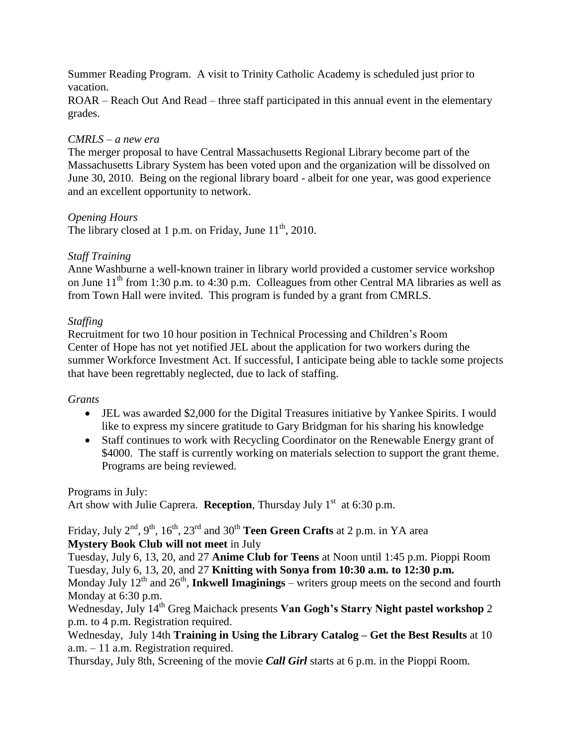Summer Reading Program. A visit to Trinity Catholic Academy is scheduled just prior to vacation.

ROAR – Reach Out And Read – three staff participated in this annual event in the elementary grades.

#### *CMRLS – a new era*

The merger proposal to have Central Massachusetts Regional Library become part of the Massachusetts Library System has been voted upon and the organization will be dissolved on June 30, 2010. Being on the regional library board - albeit for one year, was good experience and an excellent opportunity to network.

#### *Opening Hours*

The library closed at 1 p.m. on Friday, June  $11^{th}$ , 2010.

#### *Staff Training*

Anne Washburne a well-known trainer in library world provided a customer service workshop on June  $11<sup>th</sup>$  from 1:30 p.m. to 4:30 p.m. Colleagues from other Central MA libraries as well as from Town Hall were invited. This program is funded by a grant from CMRLS.

#### *Staffing*

Recruitment for two 10 hour position in Technical Processing and Children's Room Center of Hope has not yet notified JEL about the application for two workers during the summer Workforce Investment Act. If successful, I anticipate being able to tackle some projects that have been regrettably neglected, due to lack of staffing.

#### *Grants*

- JEL was awarded \$2,000 for the Digital Treasures initiative by Yankee Spirits. I would like to express my sincere gratitude to Gary Bridgman for his sharing his knowledge
- Staff continues to work with Recycling Coordinator on the Renewable Energy grant of \$4000. The staff is currently working on materials selection to support the grant theme. Programs are being reviewed.

Programs in July: Art show with Julie Caprera. **Reception**, Thursday July  $1<sup>st</sup>$  at 6:30 p.m.

Friday, July 2<sup>nd</sup>, 9<sup>th</sup>, 16<sup>th</sup>, 23<sup>rd</sup> and 30<sup>th</sup> **Teen Green Crafts** at 2 p.m. in YA area **Mystery Book Club will not meet** in July

Tuesday, July 6, 13, 20, and 27 **Anime Club for Teens** at Noon until 1:45 p.m. Pioppi Room Tuesday, July 6, 13, 20, and 27 **Knitting with Sonya from 10:30 a.m. to 12:30 p.m.**

Monday July  $12<sup>th</sup>$  and  $26<sup>th</sup>$ , **Inkwell Imaginings** – writers group meets on the second and fourth Monday at 6:30 p.m.

Wednesday, July 14th Greg Maichack presents **Van Gogh's Starry Night pastel workshop** 2 p.m. to 4 p.m. Registration required.

Wednesday, July 14th **Training in Using the Library Catalog – Get the Best Results** at 10 a.m. – 11 a.m. Registration required.

Thursday, July 8th, Screening of the movie *Call Girl* starts at 6 p.m. in the Pioppi Room.